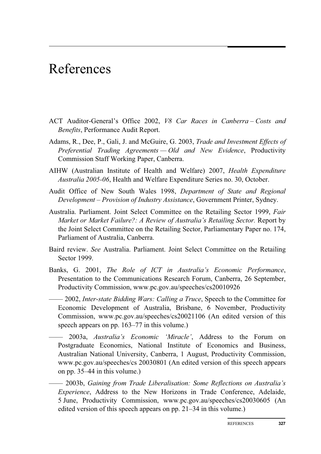## References

- ACT Auditor-General's Office 2002, *V8 Car Races in Canberra Costs and Benefits*, Performance Audit Report.
- Adams, R., Dee, P., Gali, J. and McGuire, G. 2003, *Trade and Investment Effects of Preferential Trading Agreements — Old and New Evidence*, Productivity Commission Staff Working Paper, Canberra.
- AIHW (Australian Institute of Health and Welfare) 2007, *Health Expenditure Australia 2005-06*, Health and Welfare Expenditure Series no. 30, October.
- Audit Office of New South Wales 1998, *Department of State and Regional Development – Provision of Industry Assistance*, Government Printer, Sydney.
- Australia. Parliament. Joint Select Committee on the Retailing Sector 1999, *Fair Market or Market Failure?: A Review of Australia's Retailing Sector.* Report by the Joint Select Committee on the Retailing Sector, Parliamentary Paper no. 174, Parliament of Australia, Canberra.
- Baird review. *See* Australia. Parliament. Joint Select Committee on the Retailing Sector 1999.
- Banks, G. 2001, *The Role of ICT in Australia's Economic Performance*, Presentation to the Communications Research Forum, Canberra, 26 September, Productivity Commission, www.pc.gov.au/speeches/cs20010926
- —— 2002, *Inter-state Bidding Wars: Calling a Truce*, Speech to the Committee for Economic Development of Australia, Brisbane, 6 November, Productivity Commission, www.pc.gov.au/speeches/cs20021106 (An edited version of this speech appears on pp. 163–77 in this volume.)
	- —— 2003a, *Australia's Economic 'Miracle'*, Address to the Forum on Postgraduate Economics, National Institute of Economics and Business, Australian National University, Canberra, 1 August, Productivity Commission, www.pc.gov.au/speeches/cs 20030801 (An edited version of this speech appears on pp. 35–44 in this volume.)
	- —— 2003b, *Gaining from Trade Liberalisation: Some Reflections on Australia's Experience*, Address to the New Horizons in Trade Conference, Adelaide, 5 June, Productivity Commission, www.pc.gov.au/speeches/cs20030605 (An edited version of this speech appears on pp. 21–34 in this volume.)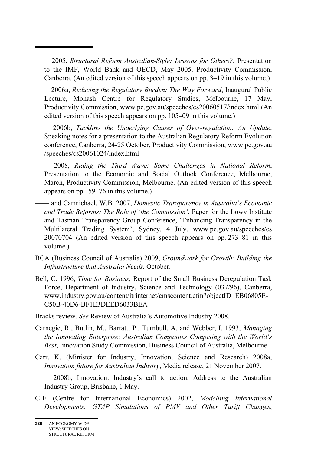—— 2005, *Structural Reform Australian-Style: Lessons for Others?*, Presentation to the IMF, World Bank and OECD, May 2005, Productivity Commission, Canberra. (An edited version of this speech appears on pp. 3–19 in this volume.)

—— 2006a, *Reducing the Regulatory Burden: The Way Forward*, Inaugural Public Lecture, Monash Centre for Regulatory Studies, Melbourne, 17 May, Productivity Commission, www.pc.gov.au/speeches/cs20060517/index.html (An edited version of this speech appears on pp. 105–09 in this volume.)

—— 2006b, *Tackling the Underlying Causes of Over-regulation: An Update*, Speaking notes for a presentation to the Australian Regulatory Reform Evolution conference, Canberra, 24-25 October, Productivity Commission, www.pc.gov.au /speeches/cs20061024/index.html

—— 2008, *Riding the Third Wave: Some Challenges in National Reform*, Presentation to the Economic and Social Outlook Conference, Melbourne, March, Productivity Commission, Melbourne. (An edited version of this speech appears on pp. 59–76 in this volume.)

—— and Carmichael, W.B. 2007, *Domestic Transparency in Australia's Economic and Trade Reforms: The Role of 'the Commission'*, Paper for the Lowy Institute and Tasman Transparency Group Conference, 'Enhancing Transparency in the Multilateral Trading System', Sydney, 4 July, www.pc.gov.au/speeches/cs 20070704 (An edited version of this speech appears on pp. 273–81 in this volume.)

- BCA (Business Council of Australia) 2009, *Groundwork for Growth: Building the Infrastructure that Australia Needs,* October.
- Bell, C. 1996, *Time for Business*, Report of the Small Business Deregulation Task Force, Department of Industry, Science and Technology (037/96), Canberra, www.industry.gov.au/content/itrinternet/cmscontent.cfm?objectID=EB06805E-C50B-40D6-BF1E3DEED6033BEA
- Bracks review. *See* Review of Australia's Automotive Industry 2008.
- Carnegie, R., Butlin, M., Barratt, P., Turnbull, A. and Webber, I. 1993, *Managing the Innovating Enterprise: Australian Companies Competing with the World's Best*, Innovation Study Commission, Business Council of Australia, Melbourne.
- Carr, K. (Minister for Industry, Innovation, Science and Research) 2008a, *Innovation future for Australian Industry*, Media release, 21 November 2007.

—— 2008b, Innovation: Industry's call to action, Address to the Australian Industry Group, Brisbane, 1 May.

CIE (Centre for International Economics) 2002, *Modelling International Developments: GTAP Simulations of PMV and Other Tariff Changes*,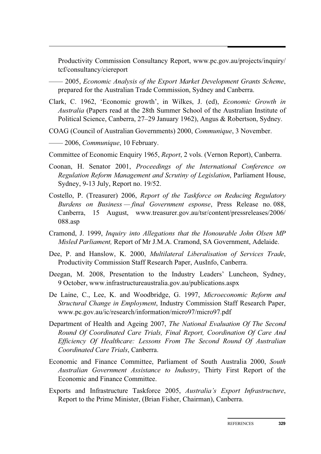Productivity Commission Consultancy Report, www.pc.gov.au/projects/inquiry/ tcf/consultancy/ciereport

—— 2005, *Economic Analysis of the Export Market Development Grants Scheme*, prepared for the Australian Trade Commission, Sydney and Canberra.

- Clark, C. 1962, 'Economic growth', in Wilkes, J. (ed), *Economic Growth in Australia* (Papers read at the 28th Summer School of the Australian Institute of Political Science, Canberra, 27–29 January 1962), Angus & Robertson, Sydney.
- COAG (Council of Australian Governments) 2000, *Communique*, 3 November.
- —— 2006, *Communique*, 10 February.
- Committee of Economic Enquiry 1965, *Report*, 2 vols. (Vernon Report), Canberra.
- Coonan, H. Senator 2001, *Proceedings of the International Conference on Regulation Reform Management and Scrutiny of Legislation*, Parliament House, Sydney, 9-13 July, Report no. 19/52.
- Costello, P. (Treasurer) 2006, *Report of the Taskforce on Reducing Regulatory Burdens on Business — final Government esponse*, Press Release no. 088, Canberra, 15 August, www.treasurer.gov.au/tsr/content/pressreleases/2006/ 088.asp
- Cramond, J. 1999, *Inquiry into Allegations that the Honourable John Olsen MP Misled Parliament,* Report of Mr J.M.A. Cramond, SA Government, Adelaide.
- Dee, P. and Hanslow, K. 2000, *Multilateral Liberalisation of Services Trade*, Productivity Commission Staff Research Paper, AusInfo, Canberra.
- Deegan, M. 2008, Presentation to the Industry Leaders' Luncheon, Sydney, 9 October, www.infrastructureaustralia.gov.au/publications.aspx
- De Laine, C., Lee, K. and Woodbridge, G. 1997, *Microeconomic Reform and Structural Change in Employment*, Industry Commission Staff Research Paper, www.pc.gov.au/ic/research/information/micro97/micro97.pdf
- Department of Health and Ageing 2007, *The National Evaluation Of The Second Round Of Coordinated Care Trials, Final Report, Coordination Of Care And Efficiency Of Healthcare: Lessons From The Second Round Of Australian Coordinated Care Trials*, Canberra.
- Economic and Finance Committee, Parliament of South Australia 2000, *South Australian Government Assistance to Industry*, Thirty First Report of the Economic and Finance Committee.
- Exports and Infrastructure Taskforce 2005, *Australia's Export Infrastructure*, Report to the Prime Minister, (Brian Fisher, Chairman), Canberra.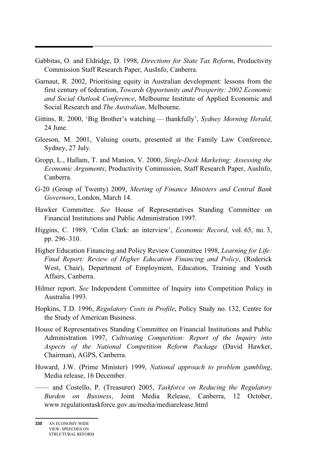- Gabbitas, O. and Eldridge, D. 1998, *Directions for State Tax Reform*, Productivity Commission Staff Research Paper, AusInfo, Canberra.
- Garnaut, R. 2002, Prioritising equity in Australian development: lessons from the first century of federation, *Towards Opportunity and Prosperity: 2002 Economic and Social Outlook Conference*, Melbourne Institute of Applied Economic and Social Research and *The Australian*, Melbourne.
- Gittins, R. 2000, 'Big Brother's watching thankfully', *Sydney Morning Herald*, 24 June.
- Gleeson, M. 2001, Valuing courts, presented at the Family Law Conference, Sydney, 27 July.
- Gropp, L., Hallam, T. and Manion, V. 2000, *Single-Desk Marketing: Assessing the Economic Arguments*, Productivity Commission, Staff Research Paper, AusInfo, Canberra.
- G-20 (Group of Twenty) 2009, *Meeting of Finance Ministers and Central Bank Governors*, London, March 14.
- Hawker Committee. *See* House of Representatives Standing Committee on Financial Institutions and Public Administration 1997.
- Higgins, C. 1989, 'Colin Clark: an interview', *Economic Record*, vol. 65, no. 3, pp. 296–310.
- Higher Education Financing and Policy Review Committee 1998, *Learning for Life: Final Report: Review of Higher Education Financing and Policy*, (Roderick West, Chair), Department of Employment, Education, Training and Youth Affairs, Canberra.
- Hilmer report. *See* Independent Committee of Inquiry into Competition Policy in Australia 1993.
- Hopkins, T.D. 1996, *Regulatory Costs in Profile*, Policy Study no. 132, Centre for the Study of American Business.
- House of Representatives Standing Committee on Financial Institutions and Public Administration 1997, *Cultivating Competition: Report of the Inquiry into Aspects of the National Competition Reform Package* (David Hawker, Chairman), AGPS, Canberra.
- Howard, J.W. (Prime Minister) 1999, *National approach to problem gambling*, Media release, 16 December.
	- —— and Costello, P. (Treasurer) 2005, *Taskforce on Reducing the Regulatory Burden on Business*, Joint Media Release, Canberra, 12 October, www.regulationtaskforce.gov.au/media/mediarelease.html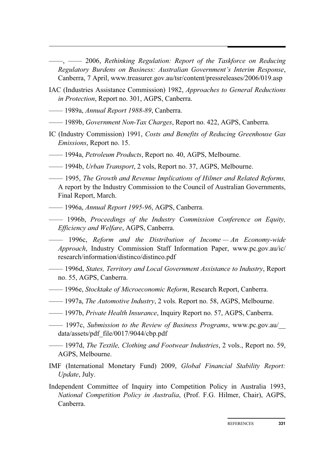$-$ ,  $-$  2006, *Rethinking Regulation: Report of the Taskforce on Reducing Regulatory Burdens on Business: Australian Government's Interim Response*, Canberra, 7 April, www.treasurer.gov.au/tsr/content/pressreleases/2006/019.asp

- IAC (Industries Assistance Commission) 1982, *Approaches to General Reductions in Protection*, Report no. 301, AGPS, Canberra.
- —— 1989a, *Annual Report 1988-89*, Canberra.
- —— 1989b, *Government Non-Tax Charges*, Report no. 422, AGPS, Canberra.
- IC (Industry Commission) 1991, *Costs and Benefits of Reducing Greenhouse Gas Emissions*, Report no. 15.
- —— 1994a, *Petroleum Products*, Report no. 40, AGPS, Melbourne.
- —— 1994b, *Urban Transport*, 2 vols, Report no. 37, AGPS, Melbourne.
- —— 1995, *The Growth and Revenue Implications of Hilmer and Related Reforms,*  A report by the Industry Commission to the Council of Australian Governments, Final Report, March.
- —— 1996a, *Annual Report 1995-96*, AGPS, Canberra.
- —— 1996b, *Proceedings of the Industry Commission Conference on Equity, Efficiency and Welfare*, AGPS, Canberra.
- —— 1996c, *Reform and the Distribution of Income An Economy-wide Approach*, Industry Commission Staff Information Paper, www.pc.gov.au/ic/ research/information/distinco/distinco.pdf
- —— 1996d, *States, Territory and Local Government Assistance to Industry*, Report no. 55, AGPS, Canberra.
- ––— 1996e, *Stocktake of Microeconomic Reform*, Research Report, Canberra.
- —— 1997a, *The Automotive Industry*, 2 vols. Report no. 58, AGPS, Melbourne.
- —— 1997b, *Private Health Insurance*, Inquiry Report no. 57, AGPS, Canberra.
- —— 1997c, *Submission to the Review of Business Programs*, www.pc.gov.au/\_\_ data/assets/pdf\_file/0017/9044/cbp.pdf
- —— 1997d, *The Textile, Clothing and Footwear Industries*, 2 vols., Report no. 59, AGPS, Melbourne.
- IMF (International Monetary Fund) 2009, *Global Financial Stability Report: Update*, July.
- Independent Committee of Inquiry into Competition Policy in Australia 1993, *National Competition Policy in Australia*, (Prof. F.G. Hilmer, Chair), AGPS, Canberra.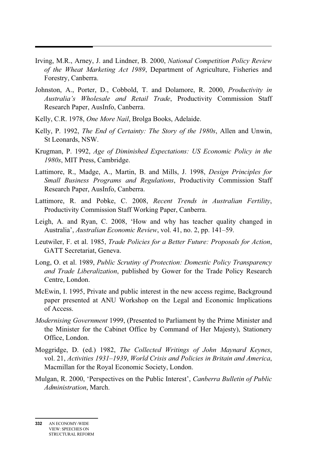- Irving, M.R., Arney, J. and Lindner, B. 2000, *National Competition Policy Review of the Wheat Marketing Act 1989*, Department of Agriculture, Fisheries and Forestry, Canberra.
- Johnston, A., Porter, D., Cobbold, T. and Dolamore, R. 2000, *Productivity in Australia's Wholesale and Retail Trade*, Productivity Commission Staff Research Paper, AusInfo, Canberra.
- Kelly, C.R. 1978, *One More Nail*, Brolga Books, Adelaide.

- Kelly, P. 1992, *The End of Certainty: The Story of the 1980s*, Allen and Unwin, St Leonards, NSW.
- Krugman, P. 1992, *Age of Diminished Expectations: US Economic Policy in the 1980s*, MIT Press, Cambridge.
- Lattimore, R., Madge, A., Martin, B. and Mills, J. 1998, *Design Principles for Small Business Programs and Regulations*, Productivity Commission Staff Research Paper, AusInfo, Canberra.
- Lattimore, R. and Pobke, C. 2008, *Recent Trends in Australian Fertility*, Productivity Commission Staff Working Paper, Canberra.
- Leigh, A. and Ryan, C. 2008, 'How and why has teacher quality changed in Australia', *Australian Economic Review*, vol. 41, no. 2, pp. 141–59.
- Leutwiler, F. et al. 1985, *Trade Policies for a Better Future: Proposals for Action*, GATT Secretariat, Geneva.
- Long, O. et al. 1989, *Public Scrutiny of Protection: Domestic Policy Transparency and Trade Liberalization*, published by Gower for the Trade Policy Research Centre, London.
- McEwin, I. 1995, Private and public interest in the new access regime, Background paper presented at ANU Workshop on the Legal and Economic Implications of Access.
- *Modernising Government* 1999, (Presented to Parliament by the Prime Minister and the Minister for the Cabinet Office by Command of Her Majesty), Stationery Office, London.
- Moggridge, D. (ed.) 1982, *The Collected Writings of John Maynard Keynes*, vol. 21, *Activities 1931–1939*, *World Crisis and Policies in Britain and America*, Macmillan for the Royal Economic Society, London.
- Mulgan, R. 2000, 'Perspectives on the Public Interest', *Canberra Bulletin of Public Administration*, March.

**<sup>332</sup>** AN ECONOMY-WIDE VIEW: SPEECHES ON STRUCTURAL REFORM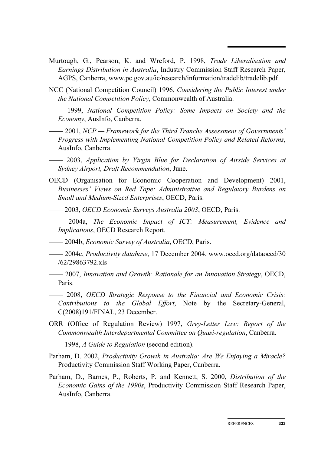- Murtough, G., Pearson, K. and Wreford, P. 1998, *Trade Liberalisation and Earnings Distribution in Australia*, Industry Commission Staff Research Paper, AGPS, Canberra, www.pc.gov.au/ic/research/information/tradelib/tradelib.pdf
- NCC (National Competition Council) 1996, *Considering the Public Interest under the National Competition Policy*, Commonwealth of Australia.
- —— 1999, *National Competition Policy: Some Impacts on Society and the Economy*, AusInfo, Canberra.
- —— 2001, *NCP Framework for the Third Tranche Assessment of Governments' Progress with Implementing National Competition Policy and Related Reforms*, AusInfo, Canberra.
- —— 2003, *Application by Virgin Blue for Declaration of Airside Services at Sydney Airport, Draft Recommendation*, June.
- OECD (Organisation for Economic Cooperation and Development) 2001, *Businesses' Views on Red Tape: Administrative and Regulatory Burdens on Small and Medium-Sized Enterprises*, OECD, Paris.
- —— 2003, *OECD Economic Surveys Australia 2003*, OECD, Paris.
- —— 2004a, *The Economic Impact of ICT: Measurement, Evidence and Implications*, OECD Research Report.
- —— 2004b, *Economic Survey of Australia*, OECD, Paris.
- —— 2004c, *Productivity database*, 17 December 2004, www.oecd.org/dataoecd/30 /62/29863792.xls
- —— 2007, *Innovation and Growth: Rationale for an Innovation Strategy*, OECD, Paris.
- —— 2008, *OECD Strategic Response to the Financial and Economic Crisis: Contributions to the Global Effort*, Note by the Secretary-General, C(2008)191/FINAL, 23 December.
- ORR (Office of Regulation Review) 1997, *Grey-Letter Law: Report of the Commonwealth Interdepartmental Committee on Quasi-regulation*, Canberra.
- —— 1998, *A Guide to Regulation* (second edition).
- Parham, D. 2002, *Productivity Growth in Australia: Are We Enjoying a Miracle?*  Productivity Commission Staff Working Paper, Canberra.
- Parham, D., Barnes, P., Roberts, P. and Kennett, S. 2000, *Distribution of the Economic Gains of the 1990s*, Productivity Commission Staff Research Paper, AusInfo, Canberra.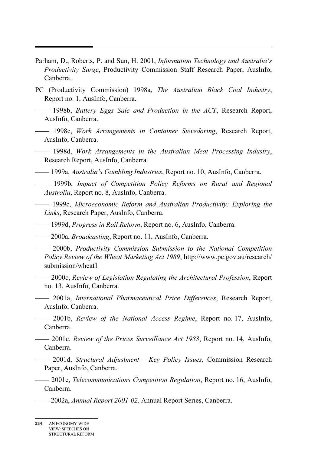- Parham, D., Roberts, P. and Sun, H. 2001, *Information Technology and Australia's Productivity Surge*, Productivity Commission Staff Research Paper, AusInfo, Canberra.
- PC (Productivity Commission) 1998a, *The Australian Black Coal Industry*, Report no. 1, AusInfo, Canberra.
- —— 1998b, *Battery Eggs Sale and Production in the ACT*, Research Report, AusInfo, Canberra.
- —— 1998c, *Work Arrangements in Container Stevedoring*, Research Report, AusInfo, Canberra.
- —— 1998d, *Work Arrangements in the Australian Meat Processing Industry*, Research Report, AusInfo, Canberra.
- —— 1999a, *Australia's Gambling Industries*, Report no. 10, AusInfo, Canberra.
- —— 1999b, *Impact of Competition Policy Reforms on Rural and Regional Australia*, Report no. 8, AusInfo, Canberra.
- —— 1999c, *Microeconomic Reform and Australian Productivity: Exploring the Links*, Research Paper, AusInfo, Canberra.
- —— 1999d, *Progress in Rail Reform*, Report no. 6, AusInfo, Canberra.
- —— 2000a, *Broadcasting*, Report no. 11, AusInfo, Canberra.
- —— 2000b, *Productivity Commission Submission to the National Competition Policy Review of the Wheat Marketing Act 1989*, http://www.pc.gov.au/research/ submission/wheat1
- —— 2000c, *Review of Legislation Regulating the Architectural Profession*, Report no. 13, AusInfo, Canberra.
- —— 2001a, *International Pharmaceutical Price Differences*, Research Report, AusInfo, Canberra.
- —— 2001b, *Review of the National Access Regime*, Report no. 17, AusInfo, Canberra.
- —— 2001c, *Review of the Prices Surveillance Act 1983*, Report no. 14, AusInfo, Canberra.
- —— 2001d, *Structural Adjustment Key Policy Issues*, Commission Research Paper, AusInfo, Canberra.
- —— 2001e, *Telecommunications Competition Regulation*, Report no. 16, AusInfo, Canberra.
	- —— 2002a, *Annual Report 2001-02,* Annual Report Series, Canberra.

**<sup>334</sup>** AN ECONOMY-WIDE VIEW: SPEECHES ON STRUCTURAL REFORM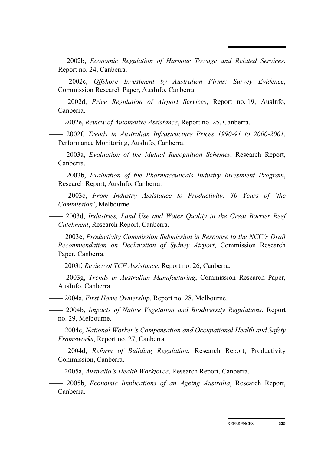- —— 2002b, *Economic Regulation of Harbour Towage and Related Services*, Report no. 24, Canberra.
- —— 2002c, *Offshore Investment by Australian Firms: Survey Evidence*, Commission Research Paper, AusInfo, Canberra.
- —— 2002d, *Price Regulation of Airport Services*, Report no. 19, AusInfo, Canberra.
- —— 2002e, *Review of Automotive Assistance*, Report no. 25, Canberra.
- —— 2002f, *Trends in Australian Infrastructure Prices 1990-91 to 2000-2001*, Performance Monitoring, AusInfo, Canberra.
- —— 2003a, *Evaluation of the Mutual Recognition Schemes*, Research Report, Canberra.
- —— 2003b, *Evaluation of the Pharmaceuticals Industry Investment Program*, Research Report, AusInfo, Canberra.
- —— 2003c, *From Industry Assistance to Productivity: 30 Years of 'the Commission'*, Melbourne.
- —— 2003d, *Industries, Land Use and Water Quality in the Great Barrier Reef Catchment*, Research Report, Canberra.
- —— 2003e, *Productivity Commission Submission in Response to the NCC's Draft Recommendation on Declaration of Sydney Airport*, Commission Research Paper, Canberra.
- —— 2003f, *Review of TCF Assistance*, Report no. 26, Canberra.
- —— 2003g, *Trends in Australian Manufacturing*, Commission Research Paper, AusInfo, Canberra.
- —— 2004a, *First Home Ownership*, Report no. 28, Melbourne.
- —— 2004b, *Impacts of Native Vegetation and Biodiversity Regulations*, Report no. 29, Melbourne.
- —— 2004c, *National Worker's Compensation and Occupational Health and Safety Frameworks*, Report no. 27, Canberra.
- —— 2004d, *Reform of Building Regulation*, Research Report, Productivity Commission, Canberra.
- —— 2005a, *Australia's Health Workforce*, Research Report, Canberra.
- —— 2005b, *Economic Implications of an Ageing Australia*, Research Report, Canberra.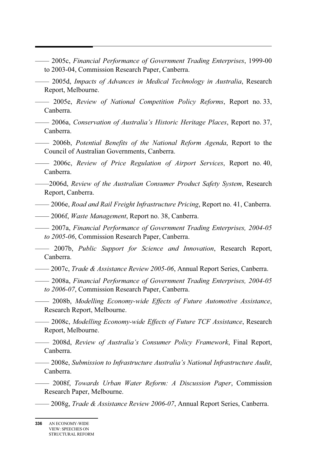- —— 2005c, *Financial Performance of Government Trading Enterprises*, 1999-00 to 2003-04, Commission Research Paper, Canberra.
- —— 2005d, *Impacts of Advances in Medical Technology in Australia*, Research Report, Melbourne.
- —— 2005e, *Review of National Competition Policy Reforms*, Report no. 33, Canberra.
- —— 2006a, *Conservation of Australia's Historic Heritage Places*, Report no. 37, Canberra.
- —— 2006b, *Potential Benefits of the National Reform Agenda*, Report to the Council of Australian Governments, Canberra.
- —— 2006c, *Review of Price Regulation of Airport Services*, Report no. 40, Canberra.
- ——2006d, *Review of the Australian Consumer Product Safety System*, Research Report, Canberra.
- —— 2006e, *Road and Rail Freight Infrastructure Pricing*, Report no. 41, Canberra.
- —— 2006f, *Waste Management*, Report no. 38, Canberra.
- —— 2007a, *Financial Performance of Government Trading Enterprises, 2004-05 to 2005-06*, Commission Research Paper, Canberra.
- —— 2007b, *Public Support for Science and Innovation*, Research Report, Canberra.
- —— 2007c, *Trade & Assistance Review 2005-06*, Annual Report Series, Canberra.
- —— 2008a, *Financial Performance of Government Trading Enterprises, 2004-05 to 2006-07*, Commission Research Paper, Canberra.
- —— 2008b, *Modelling Economy-wide Effects of Future Automotive Assistance*, Research Report, Melbourne.
	- —— 2008c, *Modelling Economy-wide Effects of Future TCF Assistance*, Research Report, Melbourne.
- —— 2008d, *Review of Australia's Consumer Policy Framework*, Final Report, Canberra.
- —— 2008e, *Submission to Infrastructure Australia's National Infrastructure Audit*, Canberra.
	- —— 2008f, *Towards Urban Water Reform: A Discussion Paper*, Commission Research Paper, Melbourne.
- —— 2008g, *Trade & Assistance Review 2006-07*, Annual Report Series, Canberra.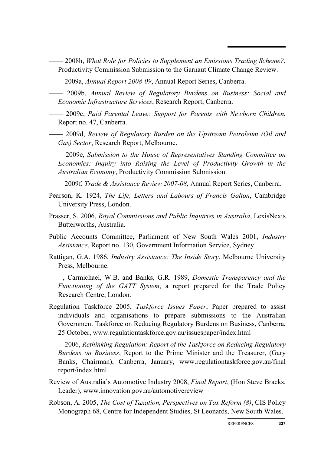- —— 2008h, *What Role for Policies to Supplement an Emissions Trading Scheme?*, Productivity Commission Submission to the Garnaut Climate Change Review.
- —— 2009a, *Annual Report 2008-09*, Annual Report Series, Canberra.
- —— 2009b, *Annual Review of Regulatory Burdens on Business: Social and Economic Infrastructure Services*, Research Report, Canberra.
- —— 2009c, *Paid Parental Leave: Support for Parents with Newborn Children*, Report no. 47, Canberra.
- —— 2009d, *Review of Regulatory Burden on the Upstream Petroleum (Oil and Gas) Sector*, Research Report, Melbourne.
- —— 2009e, *Submission to the House of Representatives Standing Committee on Economics: Inquiry into Raising the Level of Productivity Growth in the Australian Economy*, Productivity Commission Submission.
- —— 2009f, *Trade & Assistance Review 2007-08*, Annual Report Series, Canberra.
- Pearson, K. 1924, *The Life, Letters and Labours of Francis Galton*, Cambridge University Press, London.
- Prasser, S. 2006, *Royal Commissions and Public Inquiries in Australia*, LexisNexis Butterworths, Australia.
- Public Accounts Committee, Parliament of New South Wales 2001, *Industry Assistance*, Report no. 130, Government Information Service, Sydney.
- Rattigan, G.A. 1986, *Industry Assistance: The Inside Story*, Melbourne University Press, Melbourne.
- ——, Carmichael, W.B. and Banks, G.R. 1989, *Domestic Transparency and the Functioning of the GATT System*, a report prepared for the Trade Policy Research Centre, London.
- Regulation Taskforce 2005, *Taskforce Issues Paper*, Paper prepared to assist individuals and organisations to prepare submissions to the Australian Government Taskforce on Reducing Regulatory Burdens on Business, Canberra, 25 October, www.regulationtaskforce.gov.au/issuespaper/index.html
- —— 2006, *Rethinking Regulation: Report of the Taskforce on Reducing Regulatory Burdens on Business*, Report to the Prime Minister and the Treasurer, (Gary Banks, Chairman), Canberra, January, www.regulationtaskforce.gov.au/final report/index.html
- Review of Australia's Automotive Industry 2008, *Final Report*, (Hon Steve Bracks, Leader), www.innovation.gov.au/automotivereview
- Robson, A. 2005, *The Cost of Taxation, Perspectives on Tax Reform (8)*, CIS Policy Monograph 68, Centre for Independent Studies, St Leonards, New South Wales.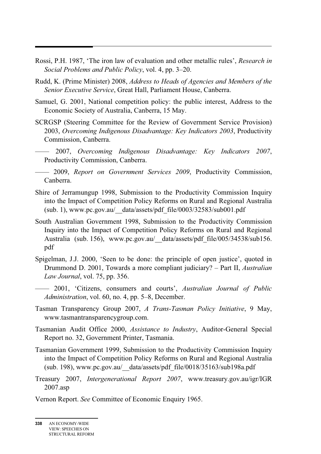- Rossi, P.H. 1987, 'The iron law of evaluation and other metallic rules', *Research in Social Problems and Public Policy*, vol. 4, pp. 3–20.
- Rudd, K. (Prime Minister) 2008, *Address to Heads of Agencies and Members of the Senior Executive Service*, Great Hall, Parliament House, Canberra.
- Samuel, G. 2001, National competition policy: the public interest, Address to the Economic Society of Australia, Canberra, 15 May.
- SCRGSP (Steering Committee for the Review of Government Service Provision) 2003, *Overcoming Indigenous Disadvantage: Key Indicators 2003*, Productivity Commission, Canberra.
- —— 2007, *Overcoming Indigenous Disadvantage: Key Indicators 2007*, Productivity Commission, Canberra.
- —— 2009, *Report on Government Services 2009*, Productivity Commission, Canberra.
- Shire of Jerramungup 1998, Submission to the Productivity Commission Inquiry into the Impact of Competition Policy Reforms on Rural and Regional Australia (sub. 1), www.pc.gov.au/\_\_data/assets/pdf\_file/0003/32583/sub001.pdf
- South Australian Government 1998, Submission to the Productivity Commission Inquiry into the Impact of Competition Policy Reforms on Rural and Regional Australia (sub. 156), www.pc.gov.au/ data/assets/pdf file/005/34538/sub156. pdf
- Spigelman, J.J. 2000, 'Seen to be done: the principle of open justice', quoted in Drummond D. 2001, Towards a more compliant judiciary? – Part II, *Australian Law Journal*, vol. 75, pp. 356.
- —— 2001, 'Citizens, consumers and courts', *Australian Journal of Public Administration*, vol. 60, no. 4, pp. 5–8, December.
- Tasman Transparency Group 2007, *A Trans-Tasman Policy Initiative*, 9 May, www.tasmantransparencygroup.com.
- Tasmanian Audit Office 2000, *Assistance to Industry*, Auditor-General Special Report no. 32, Government Printer, Tasmania.
- Tasmanian Government 1999, Submission to the Productivity Commission Inquiry into the Impact of Competition Policy Reforms on Rural and Regional Australia (sub. 198), www.pc.gov.au/\_\_data/assets/pdf\_file/0018/35163/sub198a.pdf
- Treasury 2007, *Intergenerational Report 2007*, www.treasury.gov.au/igr/IGR 2007.asp
- Vernon Report. *See* Committee of Economic Enquiry 1965.